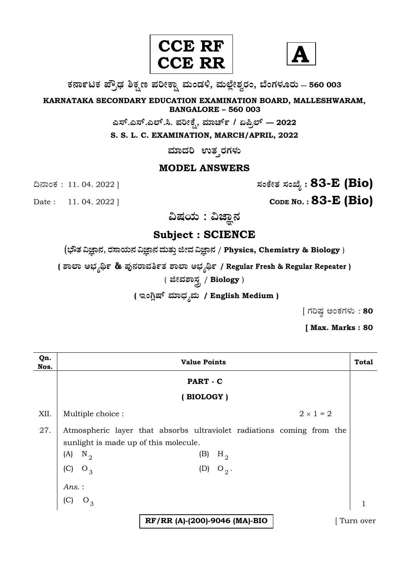



**O⁄´¤%lO⁄ ÆË√v⁄ ÃO⁄–y Æ⁄¬fiO¤– »⁄flMs⁄ÿ, »⁄fl≈Ê«fiÀ⁄ ¡⁄M, ∑ÊMV⁄◊⁄‡¡⁄fl — 560 003** 

**KARNATAKA SECONDARY EDUCATION EXAMINATION BOARD, MALLESHWARAM, BANGALORE – 560 003** 

 $\sigma$ ಎಸ್.ಎಲ್.ಸಿ. ಪರೀಕ್ಷೆ, ಮಾರ್ಚ್ / ಏಪ್ರಿಲ್ — 2022

**S. S. L. C. EXAMINATION, MARCH/APRIL, 2022** 

ಮಾದರಿ ಉತ**್ತರಗ**ಳು

### **MODEL ANSWERS**

¶´¤MO⁄ : 11. 04. 2022 ] **—⁄MOÊfi}⁄ —⁄MSÊ¿ : 83-E (Bio)**

Date : 11. 04. 2022 ] **CODE NO. : 83-E (Bio)** 

ವಿಷಯ : ವಿಜ್ಞಾನ

**Subject : SCIENCE** 

(**»èñÜ ËþÝ®Ü, ÃÜÓÝ¿á®Ü ËþÝ®Ü ÊÜáñÜᤠiàÊÜ ËþÝ®Ü** / **Physics, Chemistry & Biology** )

**( À¤≈¤ @∫⁄¥¿£% & Æ⁄'¥´⁄¡¤»⁄~%}⁄ À¤≈¤ @∫⁄¥¿£% / Regular Fresh & Regular Repeater )**

( **ffi»⁄À¤—⁄°** / **Biology** )

( ಇಂಗ್ಲಿಷ್ ಮಾಧ್ಯಮ / English Medium )

 $[$  ಗರಿಷ್ಠ ಅಂಕಗಳು : 80

**[ Max. Marks : 80** 

| Qn.<br>Nos. | <b>Value Points</b>                                                                                                                                                                |  |  |
|-------------|------------------------------------------------------------------------------------------------------------------------------------------------------------------------------------|--|--|
|             | PART - C                                                                                                                                                                           |  |  |
|             | (BIOLOGY)                                                                                                                                                                          |  |  |
| XII.        | $2 \times 1 = 2$<br>Multiple choice :                                                                                                                                              |  |  |
| 27.         | Atmospheric layer that absorbs ultraviolet radiations coming from the<br>sunlight is made up of this molecule.<br>$N_{2}$<br>(A)<br>(B)<br>$H_2$<br>(C)<br>$O_3$<br>(D)<br>$O_2$ . |  |  |
|             | Ans.:<br>(C)<br>$O_3$                                                                                                                                                              |  |  |
|             | RF/RR (A)-(200)-9046 (MA)-BIO<br>Turn over                                                                                                                                         |  |  |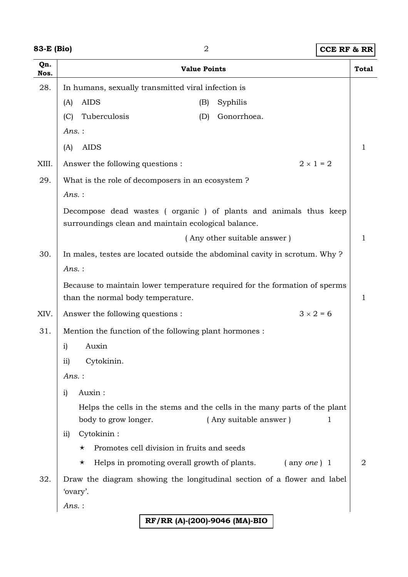| 83-E (Bio) |  |
|------------|--|
|------------|--|

## **83-B (Biology)** 2 **CCE RF & RR**

| 83-E (Bio)  | $\sqrt{2}$                                                                                                             |                                                                            | <b>CCE RF &amp; RR</b> |  |
|-------------|------------------------------------------------------------------------------------------------------------------------|----------------------------------------------------------------------------|------------------------|--|
| Qn.<br>Nos. | <b>Value Points</b>                                                                                                    |                                                                            | <b>Total</b>           |  |
| 28.         | In humans, sexually transmitted viral infection is                                                                     |                                                                            |                        |  |
|             | <b>AIDS</b><br>(A)<br>(B)                                                                                              | Syphilis                                                                   |                        |  |
|             | Tuberculosis<br>(D)<br>(C)                                                                                             | Gonorrhoea.                                                                |                        |  |
|             | $Ans.$ :                                                                                                               |                                                                            |                        |  |
|             | <b>AIDS</b><br>(A)                                                                                                     |                                                                            | 1                      |  |
| XIII.       | Answer the following questions :                                                                                       | $2 \times 1 = 2$                                                           |                        |  |
| 29.         | What is the role of decomposers in an ecosystem?                                                                       |                                                                            |                        |  |
|             | Ans.:                                                                                                                  |                                                                            |                        |  |
|             | Decompose dead wastes (organic) of plants and animals thus keep<br>surroundings clean and maintain ecological balance. |                                                                            |                        |  |
|             |                                                                                                                        | (Any other suitable answer)                                                | 1                      |  |
| 30.         |                                                                                                                        | In males, testes are located outside the abdominal cavity in scrotum. Why? |                        |  |
|             | $Ans.$ :                                                                                                               |                                                                            |                        |  |
|             | Because to maintain lower temperature required for the formation of sperms                                             |                                                                            |                        |  |
|             | than the normal body temperature.                                                                                      |                                                                            | 1                      |  |
| XIV.        | Answer the following questions :                                                                                       |                                                                            | $3 \times 2 = 6$       |  |
| 31.         | Mention the function of the following plant hormones :                                                                 |                                                                            |                        |  |
|             | Auxin<br>$\mathbf{i}$                                                                                                  |                                                                            |                        |  |
|             | Cytokinin.<br>$\overline{11}$                                                                                          |                                                                            |                        |  |
|             | Ans.:                                                                                                                  |                                                                            |                        |  |
|             | Auxin:<br>i)                                                                                                           |                                                                            |                        |  |
|             | Helps the cells in the stems and the cells in the many parts of the plant                                              |                                                                            |                        |  |
|             | body to grow longer.                                                                                                   | (Any suitable answer)                                                      | 1                      |  |
|             | Cytokinin:<br>$\overline{ii}$                                                                                          |                                                                            |                        |  |
|             | Promotes cell division in fruits and seeds<br>$\star$                                                                  |                                                                            |                        |  |
|             | Helps in promoting overall growth of plants.<br>$\star$                                                                | $($ any <i>one</i> $)$ 1                                                   | 2                      |  |
| 32.         | Draw the diagram showing the longitudinal section of a flower and label<br>'ovary'.                                    |                                                                            |                        |  |
|             | Ans. :                                                                                                                 |                                                                            |                        |  |
|             | RF/RR (A)-(200)-9046 (MA)-BIO                                                                                          |                                                                            |                        |  |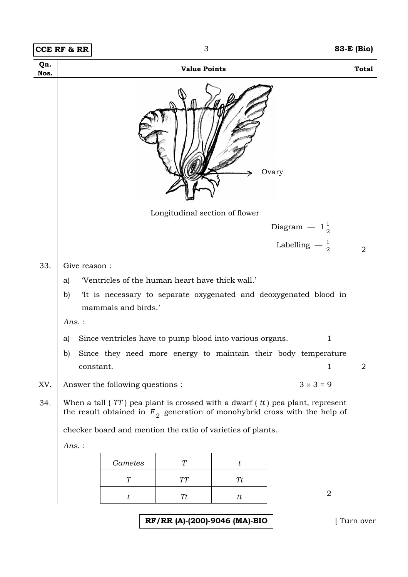|             | <b>CCE RF &amp; RR</b>                                                                                                                                          |                                                             | 3                              |                               |                                                                  | 83-E (Bio)     |
|-------------|-----------------------------------------------------------------------------------------------------------------------------------------------------------------|-------------------------------------------------------------|--------------------------------|-------------------------------|------------------------------------------------------------------|----------------|
| Qn.<br>Nos. |                                                                                                                                                                 |                                                             | <b>Value Points</b>            |                               |                                                                  | <b>Total</b>   |
|             |                                                                                                                                                                 |                                                             |                                |                               | Ovary                                                            |                |
|             |                                                                                                                                                                 |                                                             | Longitudinal section of flower |                               |                                                                  |                |
|             |                                                                                                                                                                 |                                                             |                                |                               | Diagram $-1\frac{1}{2}$                                          |                |
|             |                                                                                                                                                                 |                                                             |                                |                               | Labelling $-\frac{1}{2}$                                         | 2              |
| 33.         | Give reason:                                                                                                                                                    |                                                             |                                |                               |                                                                  |                |
|             | a)                                                                                                                                                              | 'Ventricles of the human heart have thick wall.'            |                                |                               |                                                                  |                |
|             | b)                                                                                                                                                              | mammals and birds.'                                         |                                |                               | It is necessary to separate oxygenated and deoxygenated blood in |                |
|             | $Ans.$ :                                                                                                                                                        |                                                             |                                |                               |                                                                  |                |
|             | Since ventricles have to pump blood into various organs.<br>1<br>a)                                                                                             |                                                             |                                |                               |                                                                  |                |
|             | b)                                                                                                                                                              |                                                             |                                |                               | Since they need more energy to maintain their body temperature   |                |
|             | constant.                                                                                                                                                       |                                                             |                                |                               | 1                                                                | $\overline{2}$ |
| XV.         | $3 \times 3 = 9$<br>Answer the following questions :                                                                                                            |                                                             |                                |                               |                                                                  |                |
| 34.         | When a tall $(TT)$ pea plant is crossed with a dwarf $(t)$ pea plant, represent<br>the result obtained in $F_2$ generation of monohybrid cross with the help of |                                                             |                                |                               |                                                                  |                |
|             |                                                                                                                                                                 | checker board and mention the ratio of varieties of plants. |                                |                               |                                                                  |                |
|             | $Ans.$ :                                                                                                                                                        |                                                             |                                |                               |                                                                  |                |
|             |                                                                                                                                                                 | Gametes                                                     | T                              | t                             |                                                                  |                |
|             |                                                                                                                                                                 | T                                                           | $\cal T\cal T$                 | Tt                            |                                                                  |                |
|             |                                                                                                                                                                 | $\boldsymbol{t}$                                            | Tt                             | tt                            | $\overline{2}$                                                   |                |
|             |                                                                                                                                                                 |                                                             |                                | RF/RR (A)-(200)-9046 (MA)-BIO |                                                                  | Turn over      |

r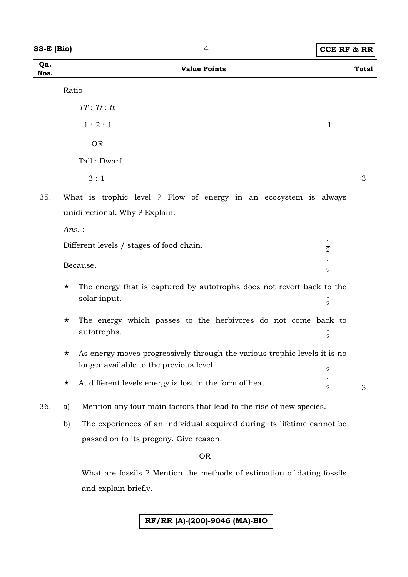#### **83-E (Bio)** 4 **CCE RF & RR**

| Qn.<br>Nos. | <b>Value Points</b>                                                                                                                              | <b>Total</b> |  |
|-------------|--------------------------------------------------------------------------------------------------------------------------------------------------|--------------|--|
|             | Ratio                                                                                                                                            |              |  |
|             | $TT:$ $Tt:$ $tt$                                                                                                                                 |              |  |
|             | 1:2:1<br>$\mathbf{1}$                                                                                                                            |              |  |
|             | <b>OR</b>                                                                                                                                        |              |  |
|             | Tall: Dwarf                                                                                                                                      |              |  |
|             | 3:1                                                                                                                                              | 3            |  |
| 35.         | What is trophic level ? Flow of energy in an ecosystem is always<br>unidirectional. Why? Explain.                                                |              |  |
|             | Ans.:                                                                                                                                            |              |  |
|             | $\frac{1}{2}$<br>Different levels / stages of food chain.                                                                                        |              |  |
|             | $\frac{1}{2}$<br>Because,                                                                                                                        |              |  |
|             | The energy that is captured by autotrophs does not revert back to the<br>$\star$<br>$\frac{1}{2}$<br>solar input.                                |              |  |
|             | The energy which passes to the herbivores do not come back to<br>$\star$<br>$\frac{1}{2}$<br>autotrophs.                                         |              |  |
|             | As energy moves progressively through the various trophic levels it is no<br>$\star$<br>longer available to the previous level.<br>$\frac{1}{2}$ |              |  |
|             | $\frac{1}{2}$<br>At different levels energy is lost in the form of heat.<br>$\star$                                                              | 3            |  |
| 36.         | Mention any four main factors that lead to the rise of new species.<br>a)                                                                        |              |  |
|             | The experiences of an individual acquired during its lifetime cannot be<br>b)                                                                    |              |  |
|             | passed on to its progeny. Give reason.                                                                                                           |              |  |
|             | <b>OR</b>                                                                                                                                        |              |  |
|             | What are fossils? Mention the methods of estimation of dating fossils                                                                            |              |  |
|             | and explain briefly.                                                                                                                             |              |  |
|             |                                                                                                                                                  |              |  |

#### **RF/RR (A)-(200)-9046 (MA)-BIO**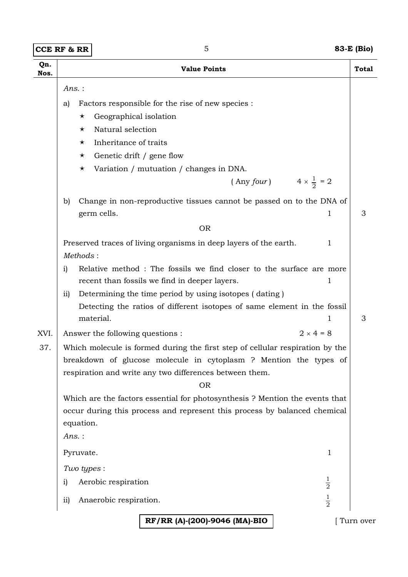**CCE RF & RR** 5 **83-E (Bio)** 

| Qn.      | <b>Value Points</b>                                                                                                          | <b>Total</b> |  |
|----------|------------------------------------------------------------------------------------------------------------------------------|--------------|--|
| Nos.     |                                                                                                                              |              |  |
| $Ans.$ : |                                                                                                                              |              |  |
|          | Factors responsible for the rise of new species :<br>a)                                                                      |              |  |
|          | Geographical isolation<br>$\star$                                                                                            |              |  |
|          | Natural selection<br>$\star$                                                                                                 |              |  |
|          | Inheritance of traits<br>$\star$                                                                                             |              |  |
|          | Genetic drift / gene flow<br>$\star$<br>Variation / mutuation / changes in DNA.<br>$\star$                                   |              |  |
|          | $4 \times \frac{1}{2} = 2$<br>(Any four)                                                                                     |              |  |
|          | Change in non-reproductive tissues cannot be passed on to the DNA of<br>b)<br>germ cells.<br>1                               | 3            |  |
|          | <b>OR</b>                                                                                                                    |              |  |
|          |                                                                                                                              |              |  |
|          | Preserved traces of living organisms in deep layers of the earth.<br>1<br>Methods:                                           |              |  |
|          | Relative method : The fossils we find closer to the surface are more<br>i)                                                   |              |  |
|          | recent than fossils we find in deeper layers.<br>1                                                                           |              |  |
|          | Determining the time period by using isotopes (dating)<br>$\overline{11}$                                                    |              |  |
|          | Detecting the ratios of different isotopes of same element in the fossil<br>material.<br>1                                   |              |  |
| XVI.     | $2 \times 4 = 8$<br>Answer the following questions :                                                                         |              |  |
| 37.      | Which molecule is formed during the first step of cellular respiration by the                                                |              |  |
|          | breakdown of glucose molecule in cytoplasm ? Mention the types of<br>respiration and write any two differences between them. |              |  |
|          | <b>OR</b>                                                                                                                    |              |  |
|          | Which are the factors essential for photosynthesis ? Mention the events that                                                 |              |  |
|          | occur during this process and represent this process by balanced chemical                                                    |              |  |
|          | equation.                                                                                                                    |              |  |
|          | $Ans.$ :                                                                                                                     |              |  |
|          | Pyruvate.<br>1                                                                                                               |              |  |
|          | Two types :                                                                                                                  |              |  |
|          | $\frac{1}{2}$<br>Aerobic respiration<br>i)                                                                                   |              |  |
|          | $\frac{1}{2}$<br>Anaerobic respiration.<br>$\overline{11}$                                                                   |              |  |
|          | RF/RR (A)-(200)-9046 (MA)-BIO                                                                                                | Turn over    |  |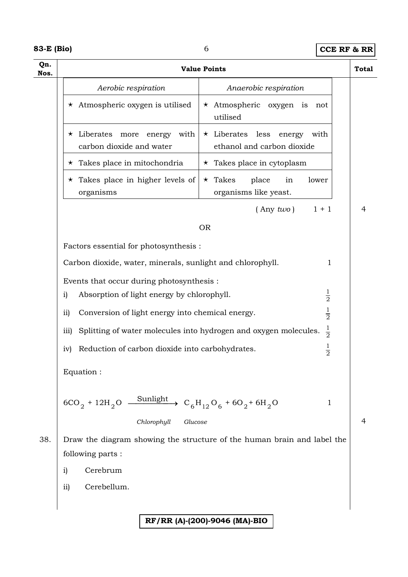| 83-E (Bio) |  |
|------------|--|
|------------|--|

# **83-E (Bio)** 6 **CCE RF & RR**

| Qn.<br>Nos. | <b>Value Points</b>                                                                          |                                                                        |   |
|-------------|----------------------------------------------------------------------------------------------|------------------------------------------------------------------------|---|
|             | Aerobic respiration                                                                          | Anaerobic respiration                                                  |   |
|             | $\star$ Atmospheric oxygen is utilised                                                       | $\star$ Atmospheric oxygen is not<br>utilised                          |   |
|             | $\star$ Liberates<br>more energy<br>with<br>carbon dioxide and water                         | $\star$ Liberates less<br>energy<br>with<br>ethanol and carbon dioxide |   |
|             | $\star$ Takes place in mitochondria                                                          | $\star$ Takes place in cytoplasm                                       |   |
|             | $\star$ Takes place in higher levels of<br>organisms                                         | $\star$ Takes<br>place<br>in<br>lower<br>organisms like yeast.         |   |
|             |                                                                                              | $($ Any two)<br>$1 + 1$                                                | 4 |
|             |                                                                                              | <b>OR</b>                                                              |   |
|             | Factors essential for photosynthesis :                                                       |                                                                        |   |
|             | Carbon dioxide, water, minerals, sunlight and chlorophyll.                                   | $\mathbf{1}$                                                           |   |
|             | Events that occur during photosynthesis :                                                    |                                                                        |   |
|             | Absorption of light energy by chlorophyll.<br>i)                                             | $\frac{1}{2}$                                                          |   |
|             | $\frac{1}{2}$<br>$\overline{11}$<br>Conversion of light energy into chemical energy.         |                                                                        |   |
|             | Splitting of water molecules into hydrogen and oxygen molecules.<br>$\overline{iii}$         | $\frac{1}{2}$                                                          |   |
|             | $\frac{1}{2}$<br>Reduction of carbon dioxide into carbohydrates.<br>iv)                      |                                                                        |   |
|             | Equation:                                                                                    |                                                                        |   |
|             | <u>Sunlight</u><br>$6CO_2 + 12H_2O -$                                                        | $C_6H_{12}O_6 + 6O_2 + 6H_2O$<br>$\mathbf 1$                           |   |
|             | Chlorophyll<br>Glucose                                                                       |                                                                        | 4 |
| 38.         | Draw the diagram showing the structure of the human brain and label the<br>following parts : |                                                                        |   |
|             | Cerebrum<br>$\mathbf{i}$                                                                     |                                                                        |   |
|             | Cerebellum.<br>ii)                                                                           |                                                                        |   |
|             |                                                                                              |                                                                        |   |
|             |                                                                                              | RF/RR (A)-(200)-9046 (MA)-BIO                                          |   |